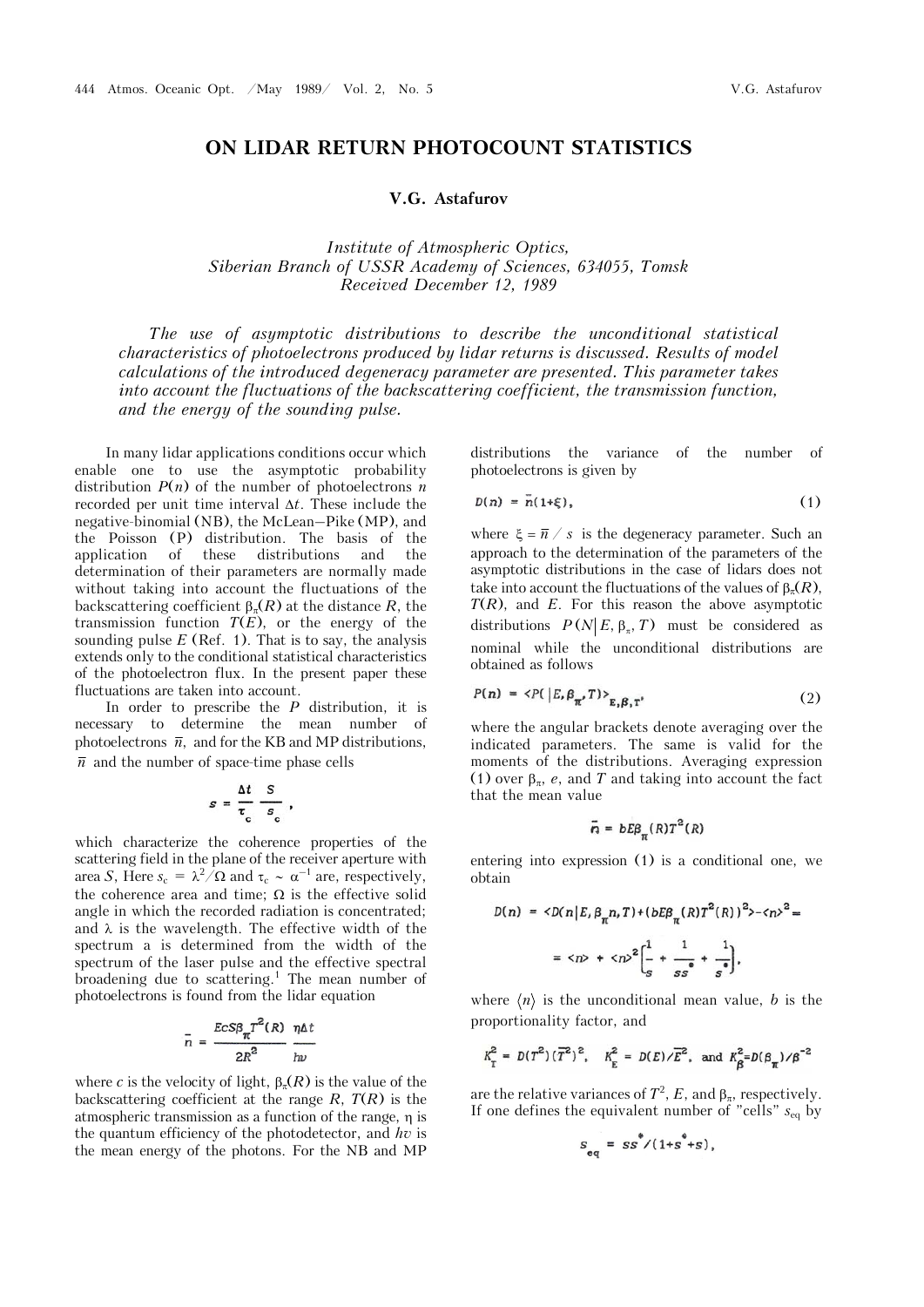## **ON LIDAR RETURN PHOTOCOUNT STATISTICS**

**V.G. Astafurov** 

*Institute of Atmospheric Optics, Siberian Branch of USSR Academy of Sciences, 634055, Tomsk Received December 12, 1989* 

*The use of asymptotic distributions to describe the unconditional statistical characteristics of photoelectrons produced by lidar returns is discussed. Results of model calculations of the introduced degeneracy parameter are presented. This parameter takes into account the fluctuations of the backscattering coefficient, the transmission function, and the energy of the sounding pulse.*

In many lidar applications conditions occur which enable one to use the asymptotic probability distribution  $P(n)$  of the number of photoelectrons *n* recorded per unit time interval  $\Delta t$ . These include the negative-binomial (NB), the McLean–Pike (MP), and the Poisson (P) distribution. The basis of the application of these distributions and the determination of their parameters are normally made without taking into account the fluctuations of the backscattering coefficient  $\beta_{\pi}(R)$  at the distance *R*, the transmission function  $T(E)$ , or the energy of the sounding pulse  $E$  (Ref. 1). That is to say, the analysis extends only to the conditional statistical characteristics of the photoelectron flux. In the present paper these fluctuations are taken into account.

In order to prescribe the *P* distribution, it is necessary to determine the mean number of photoelectrons  $\bar{n}$ , and for the KB and MP distributions,  $\overline{n}$  and the number of space-time phase cells

$$
s = \frac{\Delta t}{\tau_c} \frac{S}{s_c}
$$

which characterize the coherence properties of the scattering field in the plane of the receiver aperture with area *S*, Here  $s_c = \lambda^2/\Omega$  and  $\tau_c \sim \alpha^{-1}$  are, respectively, the coherence area and time;  $\Omega$  is the effective solid angle in which the recorded radiation is concentrated; and  $\lambda$  is the wavelength. The effective width of the spectrum à is determined from the width of the spectrum of the laser pulse and the effective spectral broadening due to scattering.<sup>1</sup> The mean number of photoelectrons is found from the lidar equation

$$
\bar{n} = \frac{Ecs\beta_{\pi}T^2(R)}{2R^2} \frac{\eta \Delta t}{h\nu}
$$

where *c* is the velocity of light,  $\beta_{\pi}(R)$  is the value of the backscattering coefficient at the range  $R$ ,  $T(R)$  is the atmospheric transmission as a function of the range, is the quantum efficiency of the photodetector, and *hv* is the mean energy of the photons. For the NB and MP

distributions the variance of the number of photoelectrons is given by

$$
D(n) = n(1+\xi), \qquad (1)
$$

where  $\xi = \overline{n} / s$  is the degeneracy parameter. Such an approach to the determination of the parameters of the asymptotic distributions in the case of lidars does not take into account the fluctuations of the values of  $\beta_\tau(R)$ , *T*(*R*), and *E*. For this reason the above asymptotic distributions  $P(N|E, \beta_*, T)$  must be considered as nominal while the unconditional distributions are obtained as follows

$$
P(n) = \langle P(\left|E, \beta_{\pi}, T\right)\rangle_{E, \beta, T'} \tag{2}
$$

where the angular brackets denote averaging over the indicated parameters. The same is valid for the moments of the distributions. Averaging expression (1) over  $\beta_{\pi}$ , *e*, and *T* and taking into account the fact that the mean value

$$
\bar{n} = bE\beta_{-}(R)T^{2}(R)
$$

entering into expression (1) is a conditional one, we obtain

$$
D(n) = \langle D(n | E, \beta_{\pi} n, T) + (b E \beta_{\pi} (R) T^{2}(R))^{2} \rangle - \langle n \rangle^{2} =
$$
  
=  $\langle n \rangle + \langle n \rangle^{2} \left[ \frac{1}{n} + \frac{1}{n \cdot n} + \frac{1}{n \cdot n} \right],$ 

where  $\langle n \rangle$  is the unconditional mean value, *b* is the proportionality factor, and

$$
K_{_{\rm T}}^2 = D(T^2) \, (\overline{T}^2)^2, \quad K_{_{\rm E}}^2 = D(E) \, \overline{E}^2, \text{ and } K_{\beta}^2 = D(\beta_{_{\rm T\!}}) \, {\mathcal{S}}^{-2}
$$

are the relative variances of  $T^2$ , E, and  $\beta_{\pi}$ , respectively. If one defines the equivalent number of "cells" *s*eq by

$$
S_{eq} = SS^*/(1+s^*+S),
$$